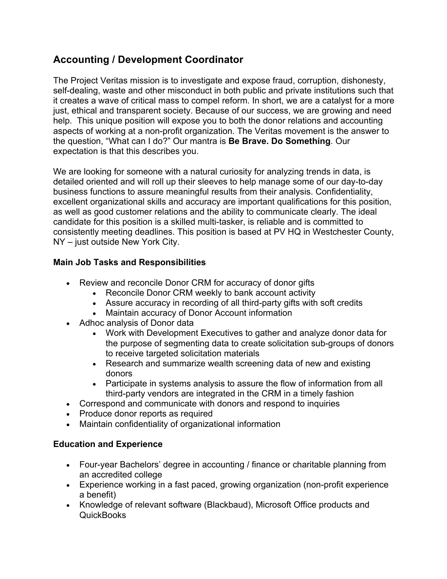## **Accounting / Development Coordinator**

The Project Veritas mission is to investigate and expose fraud, corruption, dishonesty, self-dealing, waste and other misconduct in both public and private institutions such that it creates a wave of critical mass to compel reform. In short, we are a catalyst for a more just, ethical and transparent society. Because of our success, we are growing and need help. This unique position will expose you to both the donor relations and accounting aspects of working at a non-profit organization. The Veritas movement is the answer to the question, "What can I do?" Our mantra is **Be Brave. Do Something**. Our expectation is that this describes you.

We are looking for someone with a natural curiosity for analyzing trends in data, is detailed oriented and will roll up their sleeves to help manage some of our day-to-day business functions to assure meaningful results from their analysis. Confidentiality, excellent organizational skills and accuracy are important qualifications for this position, as well as good customer relations and the ability to communicate clearly. The ideal candidate for this position is a skilled multi-tasker, is reliable and is committed to consistently meeting deadlines. This position is based at PV HQ in Westchester County, NY – just outside New York City.

## **Main Job Tasks and Responsibilities**

- Review and reconcile Donor CRM for accuracy of donor gifts
	- Reconcile Donor CRM weekly to bank account activity
	- Assure accuracy in recording of all third-party gifts with soft credits
	- Maintain accuracy of Donor Account information
- Adhoc analysis of Donor data
	- Work with Development Executives to gather and analyze donor data for the purpose of segmenting data to create solicitation sub-groups of donors to receive targeted solicitation materials
	- Research and summarize wealth screening data of new and existing donors
	- Participate in systems analysis to assure the flow of information from all third-party vendors are integrated in the CRM in a timely fashion
- Correspond and communicate with donors and respond to inquiries
- Produce donor reports as required
- Maintain confidentiality of organizational information

## **Education and Experience**

- Four-year Bachelors' degree in accounting / finance or charitable planning from an accredited college
- Experience working in a fast paced, growing organization (non-profit experience a benefit)
- Knowledge of relevant software (Blackbaud), Microsoft Office products and **QuickBooks**